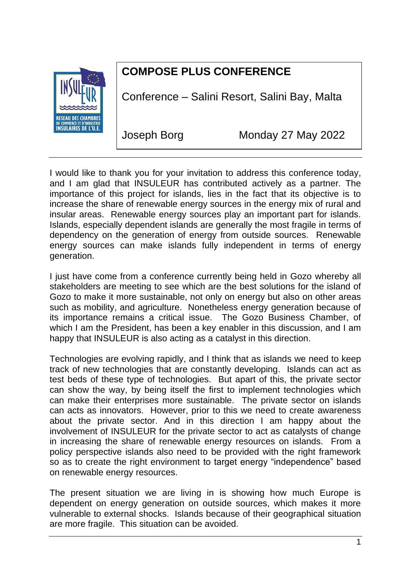

## **COMPOSE PLUS CONFERENCE**

Conference – Salini Resort, Salini Bay, Malta

Joseph Borg Monday 27 May 2022

I would like to thank you for your invitation to address this conference today, and I am glad that INSULEUR has contributed actively as a partner. The importance of this project for islands, lies in the fact that its objective is to increase the share of renewable energy sources in the energy mix of rural and insular areas. Renewable energy sources play an important part for islands. Islands, especially dependent islands are generally the most fragile in terms of dependency on the generation of energy from outside sources. Renewable energy sources can make islands fully independent in terms of energy generation.

I just have come from a conference currently being held in Gozo whereby all stakeholders are meeting to see which are the best solutions for the island of Gozo to make it more sustainable, not only on energy but also on other areas such as mobility, and agriculture. Nonetheless energy generation because of its importance remains a critical issue. The Gozo Business Chamber, of which I am the President, has been a key enabler in this discussion, and I am happy that INSULEUR is also acting as a catalyst in this direction.

Technologies are evolving rapidly, and I think that as islands we need to keep track of new technologies that are constantly developing. Islands can act as test beds of these type of technologies. But apart of this, the private sector can show the way, by being itself the first to implement technologies which can make their enterprises more sustainable. The private sector on islands can acts as innovators. However, prior to this we need to create awareness about the private sector. And in this direction I am happy about the involvement of INSULEUR for the private sector to act as catalysts of change in increasing the share of renewable energy resources on islands. From a policy perspective islands also need to be provided with the right framework so as to create the right environment to target energy "independence" based on renewable energy resources.

The present situation we are living in is showing how much Europe is dependent on energy generation on outside sources, which makes it more vulnerable to external shocks. Islands because of their geographical situation are more fragile. This situation can be avoided.